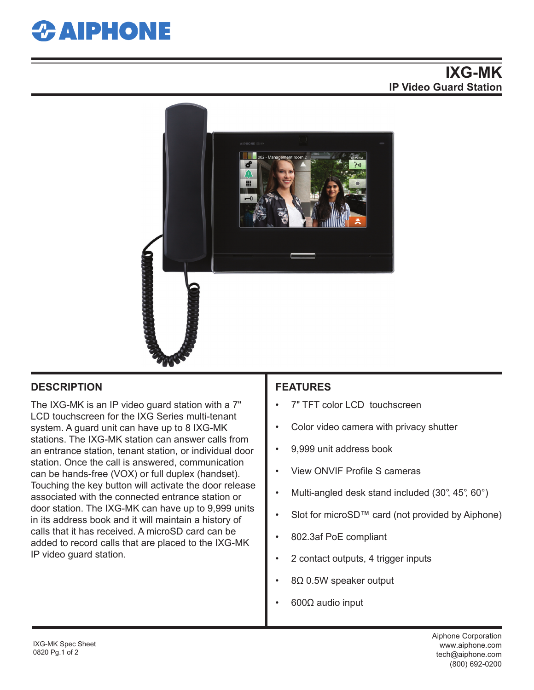

## **IXG-MK IP Video Guard Station**



### **DESCRIPTION FEATURES**

The IXG-MK is an IP video guard station with a 7" LCD touchscreen for the IXG Series multi-tenant system. A guard unit can have up to 8 IXG-MK stations. The IXG-MK station can answer calls from an entrance station, tenant station, or individual door station. Once the call is answered, communication can be hands-free (VOX) or full duplex (handset). Touching the key button will activate the door release associated with the connected entrance station or door station. The IXG-MK can have up to 9,999 units in its address book and it will maintain a history of calls that it has received. A microSD card can be added to record calls that are placed to the IXG-MK IP video guard station.

- 7" TFT color LCD touchscreen
- Color video camera with privacy shutter
- 9,999 unit address book
- View ONVIF Profile S cameras
- Multi-angled desk stand included (30°, 45°, 60°)
- Slot for microSD™ card (not provided by Aiphone)
- 802.3af PoE compliant
- 2 contact outputs, 4 trigger inputs
- 8Ω 0.5W speaker output
- 600Ω audio input